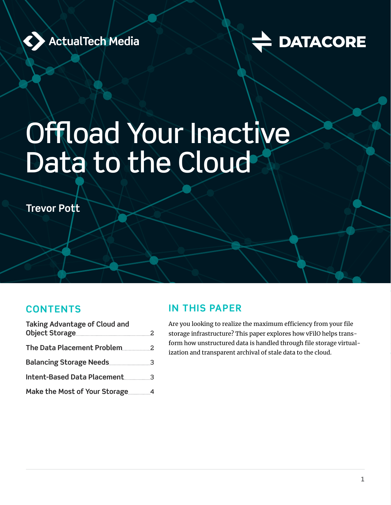



# Offload Your Inactive Data to the Cloud

**Trevor Pott**

#### **CONTENTS**

| <b>Taking Advantage of Cloud and</b> |  |
|--------------------------------------|--|
|                                      |  |
|                                      |  |
|                                      |  |
| Intent-Based Data Placement3         |  |
|                                      |  |

#### **IN THIS PAPER**

Are you looking to realize the maximum efficiency from your file storage infrastructure? This paper explores how vFilO helps transform how unstructured data is handled through file storage virtualization and transparent archival of stale data to the cloud.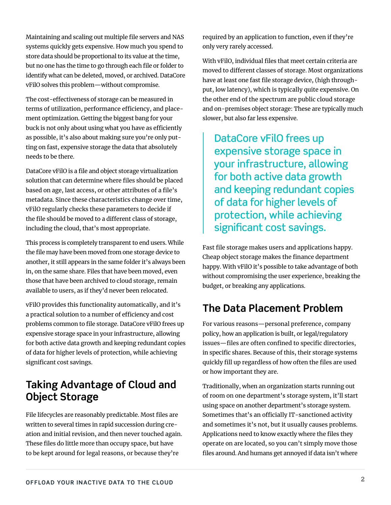<span id="page-1-0"></span>Maintaining and scaling out multiple file servers and NAS systems quickly gets expensive. How much you spend to store data should be proportional to its value at the time, but no one has the time to go through each file or folder to identify what can be deleted, moved, or archived. DataCore vFilO solves this problem—without compromise.

The cost-effectiveness of storage can be measured in terms of utilization, performance efficiency, and placement optimization. Getting the biggest bang for your buck is not only about using what you have as efficiently as possible, it's also about making sure you're only putting on fast, expensive storage the data that absolutely needs to be there.

DataCore vFilO is a file and object storage virtualization solution that can determine where files should be placed based on age, last access, or other attributes of a file's metadata. Since these characteristics change over time, vFilO regularly checks these parameters to decide if the file should be moved to a different class of storage, including the cloud, that's most appropriate.

This process is completely transparent to end users. While the file may have been moved from one storage device to another, it still appears in the same folder it's always been in, on the same share. Files that have been moved, even those that have been archived to cloud storage, remain available to users, as if they'd never been relocated.

vFilO provides this functionality automatically, and it's a practical solution to a number of efficiency and cost problems common to file storage. DataCore vFilO frees up expensive storage space in your infrastructure, allowing for both active data growth and keeping redundant copies of data for higher levels of protection, while achieving significant cost savings.

#### **Taking Advantage of Cloud and Object Storage**

File lifecycles are reasonably predictable. Most files are written to several times in rapid succession during creation and initial revision, and then never touched again. These files do little more than occupy space, but have to be kept around for legal reasons, or because they're

required by an application to function, even if they're only very rarely accessed.

With vFilO, individual files that meet certain criteria are moved to different classes of storage. Most organizations have at least one fast file storage device, (high throughput, low latency), which is typically quite expensive. On the other end of the spectrum are public cloud storage and on-premises object storage: These are typically much slower, but also far less expensive.

DataCore vFilO frees up expensive storage space in your infrastructure, allowing for both active data growth and keeping redundant copies of data for higher levels of protection, while achieving significant cost savings.

Fast file storage makes users and applications happy. Cheap object storage makes the finance department happy. With vFilO it's possible to take advantage of both without compromising the user experience, breaking the budget, or breaking any applications.

# **The Data Placement Problem**

For various reasons—personal preference, company policy, how an application is built, or legal/regulatory issues—files are often confined to specific directories, in specific shares. Because of this, their storage systems quickly fill up regardless of how often the files are used or how important they are.

Traditionally, when an organization starts running out of room on one department's storage system, it'll start using space on another department's storage system. Sometimes that's an officially IT-sanctioned activity and sometimes it's not, but it usually causes problems. Applications need to know exactly where the files they operate on are located, so you can't simply move those files around. And humans get annoyed if data isn't where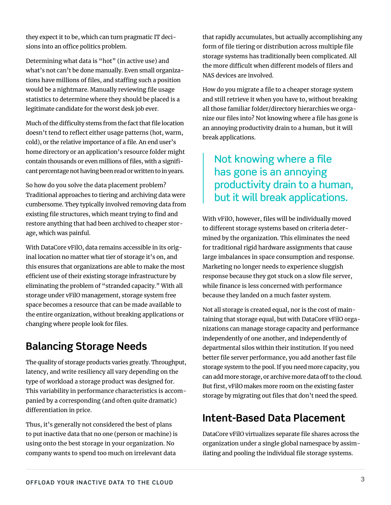they expect it to be, which can turn pragmatic IT decisions into an office politics problem.

Determining what data is "hot" (in active use) and what's not can't be done manually. Even small organizations have millions of files, and staffing such a position would be a nightmare. Manually reviewing file usage statistics to determine where they should be placed is a legitimate candidate for the worst desk job ever.

Much of the difficulty stems from the fact that file location doesn't tend to reflect either usage patterns (hot, warm, cold), or the relative importance of a file. An end user's home directory or an application's resource folder might contain thousands or even millions of files, with a significant percentage not having been read or written to in years.

So how do you solve the data placement problem? Traditional approaches to tiering and archiving data were cumbersome. They typically involved removing data from existing file structures, which meant trying to find and restore anything that had been archived to cheaper storage, which was painful.

With DataCore vFilO, data remains accessible in its original location no matter what tier of storage it's on, and this ensures that organizations are able to make the most efficient use of their existing storage infrastructure by eliminating the problem of "stranded capacity." With all storage under vFilO management, storage system free space becomes a resource that can be made available to the entire organization, without breaking applications or changing where people look for files.

# **Balancing Storage Needs**

The quality of storage products varies greatly. Throughput, latency, and write resiliency all vary depending on the type of workload a storage product was designed for. This variability in performance characteristics is accompanied by a corresponding (and often quite dramatic) differentiation in price.

Thus, it's generally not considered the best of plans to put inactive data that no one (person or machine) is using onto the best storage in your organization. No company wants to spend too much on irrelevant data

that rapidly accumulates, but actually accomplishing any form of file tiering or distribution across multiple file storage systems has traditionally been complicated. All the more difficult when different models of filers and NAS devices are involved.

How do you migrate a file to a cheaper storage system and still retrieve it when you have to, without breaking all those familiar folder/directory hierarchies we organize our files into? Not knowing where a file has gone is an annoying productivity drain to a human, but it will break applications.

## Not knowing where a file has gone is an annoying productivity drain to a human, but it will break applications.

With vFilO, however, files will be individually moved to different storage systems based on criteria determined by the organization. This eliminates the need for traditional rigid hardware assignments that cause large imbalances in space consumption and response. Marketing no longer needs to experience sluggish response because they got stuck on a slow file server, while finance is less concerned with performance because they landed on a much faster system.

Not all storage is created equal, nor is the cost of maintaining that storage equal, but with DataCore vFilO organizations can manage storage capacity and performance independently of one another, and independently of departmental silos within their institution. If you need better file server performance, you add another fast file storage system to the pool. If you need more capacity, you can add more storage, or archive more data off to the cloud. But first, vFilO makes more room on the existing faster storage by migrating out files that don't need the speed.

# **Intent-Based Data Placement**

DataCore vFilO virtualizes separate file shares across the organization under a single global namespace by assimilating and pooling the individual file storage systems.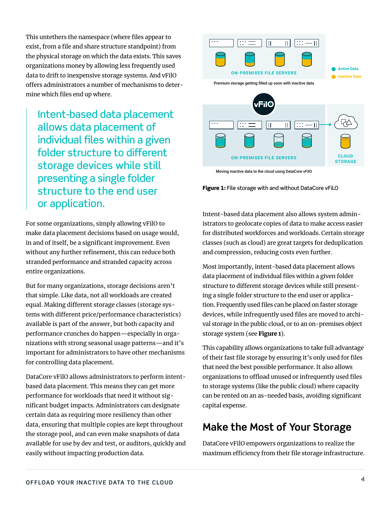This untethers the namespace (where files appear to exist, from a file and share structure standpoint) from the physical storage on which the data exists. This saves organizations money by allowing less frequently used data to drift to inexpensive storage systems. And vFilO offers administrators a number of mechanisms to determine which files end up where.

Intent-based data placement allows data placement of individual files within a given folder structure to different storage devices while still presenting a single folder structure to the end user or application.

For some organizations, simply allowing vFilO to make data placement decisions based on usage would, in and of itself, be a significant improvement. Even without any further refinement, this can reduce both stranded performance and stranded capacity across entire organizations.

But for many organizations, storage decisions aren't that simple. Like data, not all workloads are created equal. Making different storage classes (storage systems with different price/performance characteristics) available is part of the answer, but both capacity and performance crunches do happen—especially in organizations with strong seasonal usage patterns—and it's important for administrators to have other mechanisms for controlling data placement.

DataCore vFilO allows administrators to perform intentbased data placement. This means they can get more performance for workloads that need it without significant budget impacts. Administrators can designate certain data as requiring more resiliency than other data, ensuring that multiple copies are kept throughout the storage pool, and can even make snapshots of data available for use by dev and test, or auditors, quickly and easily without impacting production data.



<span id="page-3-0"></span>Moving inactive data to the cloud using DataCore vFilO

Figure 1: File storage with and without DataCore vFiLO

Intent-based data placement also allows system administrators to geolocate copies of data to make access easier for distributed workforces and workloads. Certain storage classes (such as cloud) are great targets for deduplication and compression, reducing costs even further.

Most importantly, intent-based data placement allows data placement of individual files within a given folder structure to different storage devices while still presenting a single folder structure to the end user or application. Frequently used files can be placed on faster storage devices, while infrequently used files are moved to archival storage in the public cloud, or to an on-premises object storage system (see [Figure 1](#page-3-0)).

This capability allows organizations to take full advantage of their fast file storage by ensuring it's only used for files that need the best possible performance. It also allows organizations to offload unused or infrequently used files to storage systems (like the public cloud) where capacity can be rented on an as-needed basis, avoiding significant capital expense.

## **Make the Most of Your Storage**

DataCore vFilO empowers organizations to realize the maximum efficiency from their file storage infrastructure.